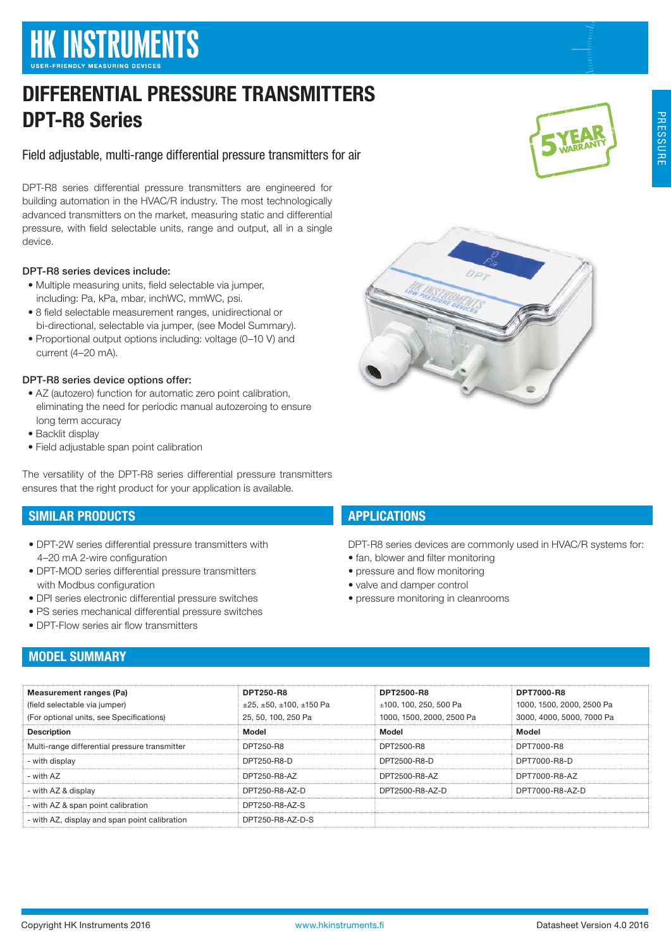# **HK INSTRUMENTS**

# DIFFERENTIAL PRESSURE TRANSMITTERS DPT-R8 Series

Field adjustable, multi-range differential pressure transmitters for air

DPT-R8 series differential pressure transmitters are engineered for building automation in the HVAC/R industry. The most technologically advanced transmitters on the market, measuring static and differential pressure, with field selectable units, range and output, all in a single device.

#### DPT-R8 series devices include:

- Multiple measuring units, field selectable via jumper, including: Pa, kPa, mbar, inchWC, mmWC, psi.
- 8 field selectable measurement ranges, unidirectional or bi-directional, selectable via jumper, (see Model Summary).
- Proportional output options including: voltage (0–10 V) and current (4–20 mA).

#### DPT-R8 series device options offer:

- AZ (autozero) function for automatic zero point calibration, eliminating the need for periodic manual autozeroing to ensure long term accuracy
- Backlit display
- Field adjustable span point calibration

The versatility of the DPT-R8 series differential pressure transmitters ensures that the right product for your application is available.

# SIMILAR PRODUCTS

- DPT-2W series differential pressure transmitters with 4–20 mA 2-wire configuration
- DPT-MOD series differential pressure transmitters with Modbus configuration
- DPI series electronic differential pressure switches
- PS series mechanical differential pressure switches
- DPT-Flow series air flow transmitters

# MODEL SUMMARY

#### Measurement ranges (Pa) (field selectable via jumper) (For optional units, see Specifications) DPT250-R8  $\pm$ 25,  $\pm$ 50,  $\pm$ 100,  $\pm$ 150 Pa 25, 50, 100, 250 Pa DPT2500-R8 ±100, 100, 250, 500 Pa 1000, 1500, 2000, 2500 Pa DPT7000-R8 1000, 1500, 2000, 2500 Pa 3000, 4000, 5000, 7000 Pa Description Model Model Model Multi-range differential pressure transmitter **DPT250-R8** DPT250-R8 DPT7000-R8 DPT7000-R8 - with display DPT250-R8-D DPT2500-R8-D DPT7000-R8-D - with AZ DPT250-R8-AZ DPT2500-R8-AZ DPT7000-R8-AZ - with AZ & display DPT250-R8-AZ-D DPT2500-R8-AZ-D DPT7000-R8-AZ-D - with AZ & span point calibration DPT250-R8-AZ-S - with AZ, display and span point calibration DPT250-R8-AZ-D-S





# **APPLICATIONS**

DPT-R8 series devices are commonly used in HVAC/R systems for:

- fan, blower and filter monitoring
- pressure and flow monitoring
- valve and damper control
- pressure monitoring in cleanrooms